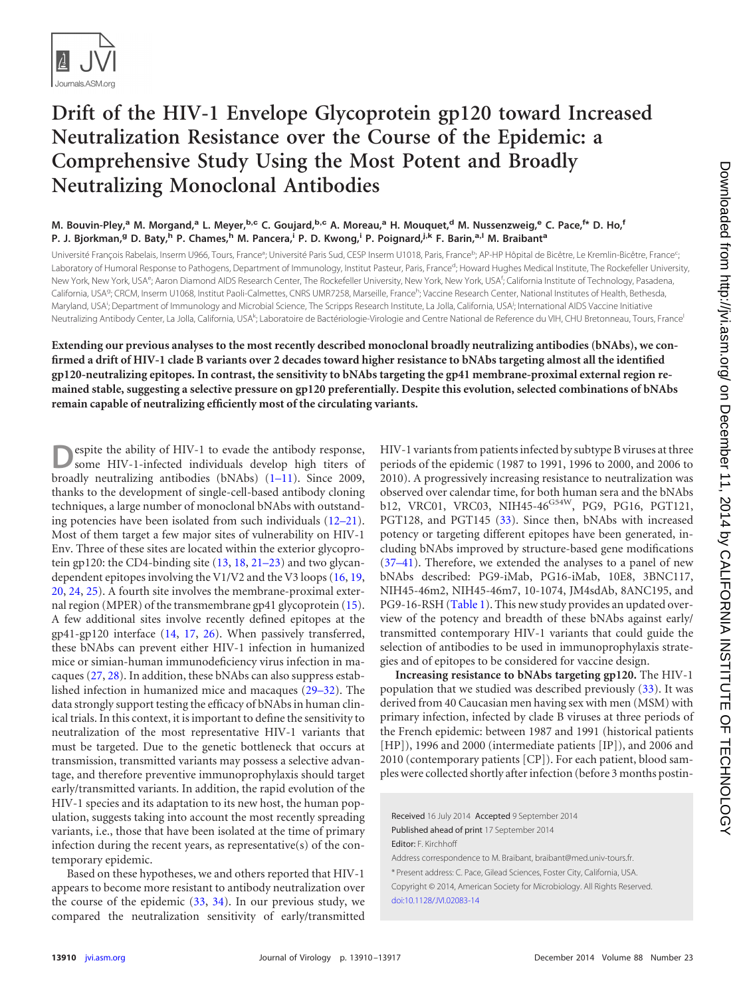

## **Drift of the HIV-1 Envelope Glycoprotein gp120 toward Increased Neutralization Resistance over the Course of the Epidemic: a Comprehensive Study Using the Most Potent and Broadly Neutralizing Monoclonal Antibodies**

## M. Bouvin-Pley,<sup>a</sup> M. Morgand,<sup>a</sup> L. Meyer,<sup>b.c</sup> C. Goujard,<sup>b,c</sup> A. Moreau,<sup>a</sup> H. Mouquet,<sup>d</sup> M. Nussenzweig,<sup>e</sup> C. Pace,<sup>f\*</sup> D. Ho,<sup>f</sup> **P. J. Bjorkman,<sup>g</sup> D. Baty,<sup>h</sup> P. Chames,<sup>h</sup> M. Pancera,<sup>i</sup> P. D. Kwong,<sup>i</sup> P. Poignard,j,k F. Barin,a,l M. Braibant<sup>a</sup>**

Université François Rabelais, Inserm U966, Tours, France<sup>a</sup>; Université Paris Sud, CESP Inserm U1018, Paris, France<sup>b</sup>; AP-HP Hôpital de Bicêtre, Le Kremlin-Bicêtre, France<sup>c</sup> ; Laboratory of Humoral Response to Pathogens, Department of Immunology, Institut Pasteur, Paris, France<sup>d</sup>; Howard Hughes Medical Institute, The Rockefeller University, New York, New York, USA<sup>e</sup>; Aaron Diamond AIDS Research Center, The Rockefeller University, New York, New York, USA<sup>f</sup>; California Institute of Technology, Pasadena, California, USA<sup>g,</sup> CRCM, Inserm U1068, Institut Paoli-Calmettes, CNRS UMR7258, Marseille, France<sup>h</sup>; Vaccine Research Center, National Institutes of Health, Bethesda, Maryland, USA<sup>i</sup>; Department of Immunology and Microbial Science, The Scripps Research Institute, La Jolla, California, USA<sup>j</sup>; International AIDS Vaccine Initiative Neutralizing Antibody Center, La Jolla, California, USA<sup>k</sup>; Laboratoire de Bactériologie-Virologie and Centre National de Reference du VIH, CHU Bretonneau, Tours, France

**Extending our previous analyses to the most recently described monoclonal broadly neutralizing antibodies (bNAbs), we confirmed a drift of HIV-1 clade B variants over 2 decades toward higher resistance to bNAbs targeting almost all the identified gp120-neutralizing epitopes. In contrast, the sensitivity to bNAbs targeting the gp41 membrane-proximal external region remained stable, suggesting a selective pressure on gp120 preferentially. Despite this evolution, selected combinations of bNAbs remain capable of neutralizing efficiently most of the circulating variants.**

espite the ability of HIV-1 to evade the antibody response, some HIV-1-infected individuals develop high titers of broadly neutralizing antibodies (bNAbs)  $(1-11)$  $(1-11)$  $(1-11)$ . Since 2009, thanks to the development of single-cell-based antibody cloning techniques, a large number of monoclonal bNAbs with outstanding potencies have been isolated from such individuals [\(12](#page-6-1)[–](#page-6-2)[21\)](#page-6-3). Most of them target a few major sites of vulnerability on HIV-1 Env. Three of these sites are located within the exterior glycoprotein gp120: the CD4-binding site [\(13,](#page-6-4) [18,](#page-6-5) [21](#page-6-3)[–](#page-6-6)[23\)](#page-6-7) and two glycandependent epitopes involving the V1/V2 and the V3 loops [\(16,](#page-6-8) [19,](#page-6-9) [20,](#page-6-2) [24,](#page-6-10) [25\)](#page-6-11). A fourth site involves the membrane-proximal external region (MPER) of the transmembrane gp41 glycoprotein  $(15)$ . A few additional sites involve recently defined epitopes at the gp41-gp120 interface [\(14,](#page-6-13) [17,](#page-6-14) [26\)](#page-6-15). When passively transferred, these bNAbs can prevent either HIV-1 infection in humanized mice or simian-human immunodeficiency virus infection in macaques [\(27,](#page-6-16) [28\)](#page-6-17). In addition, these bNAbs can also suppress established infection in humanized mice and macaques [\(29](#page-6-18)[–](#page-6-19)[32\)](#page-6-20). The data strongly support testing the efficacy of bNAbs in human clinical trials. In this context, it is important to define the sensitivity to neutralization of the most representative HIV-1 variants that must be targeted. Due to the genetic bottleneck that occurs at transmission, transmitted variants may possess a selective advantage, and therefore preventive immunoprophylaxis should target early/transmitted variants. In addition, the rapid evolution of the HIV-1 species and its adaptation to its new host, the human population, suggests taking into account the most recently spreading variants, i.e., those that have been isolated at the time of primary infection during the recent years, as representative(s) of the contemporary epidemic.

Based on these hypotheses, we and others reported that HIV-1 appears to become more resistant to antibody neutralization over the course of the epidemic  $(33, 34)$  $(33, 34)$  $(33, 34)$ . In our previous study, we compared the neutralization sensitivity of early/transmitted

HIV-1 variants from patients infected by subtype B viruses at three periods of the epidemic (1987 to 1991, 1996 to 2000, and 2006 to 2010). A progressively increasing resistance to neutralization was observed over calendar time, for both human sera and the bNAbs b12, VRC01, VRC03, NIH45-46<sup>G54W</sup>, PG9, PG16, PGT121, PGT128, and PGT145 [\(33\)](#page-7-0). Since then, bNAbs with increased potency or targeting different epitopes have been generated, including bNAbs improved by structure-based gene modifications [\(37](#page-7-2)[–](#page-7-3)[41\)](#page-7-4). Therefore, we extended the analyses to a panel of new bNAbs described: PG9-iMab, PG16-iMab, 10E8, 3BNC117, NIH45-46m2, NIH45-46m7, 10-1074, JM4sdAb, 8ANC195, and PG9-16-RSH [\(Table 1\)](#page-1-0). This new study provides an updated overview of the potency and breadth of these bNAbs against early/ transmitted contemporary HIV-1 variants that could guide the selection of antibodies to be used in immunoprophylaxis strategies and of epitopes to be considered for vaccine design.

**Increasing resistance to bNAbs targeting gp120.** The HIV-1 population that we studied was described previously [\(33\)](#page-7-0). It was derived from 40 Caucasian men having sex with men (MSM) with primary infection, infected by clade B viruses at three periods of the French epidemic: between 1987 and 1991 (historical patients [HP]), 1996 and 2000 (intermediate patients [IP]), and 2006 and 2010 (contemporary patients [CP]). For each patient, blood samples were collected shortly after infection (before 3 months postin-

Received 16 July 2014 Accepted 9 September 2014 Published ahead of print 17 September 2014 Editor: F. Kirchhoff

Address correspondence to M. Braibant, braibant@med.univ-tours.fr.

\* Present address: C. Pace, Gilead Sciences, Foster City, California, USA. Copyright © 2014, American Society for Microbiology. All Rights Reserved. [doi:10.1128/JVI.02083-14](http://dx.doi.org/10.1128/JVI.02083-14)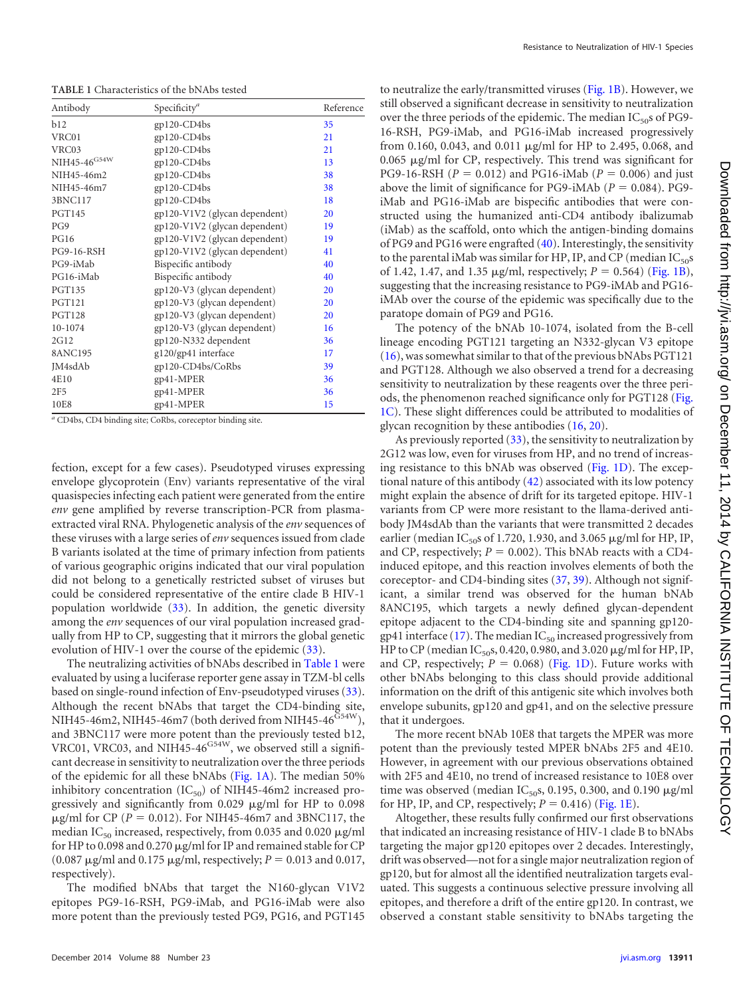<span id="page-1-0"></span>**TABLE 1** Characteristics of the bNAbs tested

| Antibody          | Specificity <sup>a</sup>      | Reference |
|-------------------|-------------------------------|-----------|
| b12               | $gp120$ -CD4 $bs$             | 35        |
| VRC01             | gp120-CD4bs                   | 21        |
| VRC03             | gp120-CD4bs                   | 21        |
| NIH45-46 $G$ 54W  | gp120-CD4bs                   | 13        |
| NIH45-46m2        | gp120-CD4bs                   | 38        |
| NIH45-46m7        | gp120-CD4bs                   | 38        |
| 3BNC117           | gp120-CD4bs                   | 18        |
| <b>PGT145</b>     | gp120-V1V2 (glycan dependent) | 20        |
| PG9               | gp120-V1V2 (glycan dependent) | 19        |
| <b>PG16</b>       | gp120-V1V2 (glycan dependent) | 19        |
| <b>PG9-16-RSH</b> | gp120-V1V2 (glycan dependent) | 41        |
| PG9-iMab          | Bispecific antibody           | 40        |
| PG16-iMab         | Bispecific antibody           | 40        |
| <b>PGT135</b>     | gp120-V3 (glycan dependent)   | 20        |
| <b>PGT121</b>     | gp120-V3 (glycan dependent)   | 20        |
| <b>PGT128</b>     | gp120-V3 (glycan dependent)   | 20        |
| 10-1074           | gp120-V3 (glycan dependent)   | 16        |
| 2G12              | gp120-N332 dependent          | 36        |
| 8ANC195           | g120/gp41 interface           | 17        |
| IM4sdAb           | gp120-CD4bs/CoRbs             | 39        |
| 4E10              | gp41-MPER                     | 36        |
| 2F5               | gp41-MPER                     | 36        |
| 10E8              | gp41-MPER                     | 15        |

*<sup>a</sup>* CD4bs, CD4 binding site; CoRbs, coreceptor binding site.

fection, except for a few cases). Pseudotyped viruses expressing envelope glycoprotein (Env) variants representative of the viral quasispecies infecting each patient were generated from the entire *env* gene amplified by reverse transcription-PCR from plasmaextracted viral RNA. Phylogenetic analysis of the *env* sequences of these viruses with a large series of*env* sequences issued from clade B variants isolated at the time of primary infection from patients of various geographic origins indicated that our viral population did not belong to a genetically restricted subset of viruses but could be considered representative of the entire clade B HIV-1 population worldwide [\(33\)](#page-7-0). In addition, the genetic diversity among the *env* sequences of our viral population increased gradually from HP to CP, suggesting that it mirrors the global genetic evolution of HIV-1 over the course of the epidemic [\(33\)](#page-7-0).

The neutralizing activities of bNAbs described in [Table 1](#page-1-0) were evaluated by using a luciferase reporter gene assay in TZM-bl cells based on single-round infection of Env-pseudotyped viruses [\(33\)](#page-7-0). Although the recent bNAbs that target the CD4-binding site, NIH45-46m2, NIH45-46m7 (both derived from NIH45-46<sup>G54W</sup>), and 3BNC117 were more potent than the previously tested b12, VRC01, VRC03, and NIH45-46<sup>G54W</sup>, we observed still a significant decrease in sensitivity to neutralization over the three periods of the epidemic for all these bNAbs [\(Fig. 1A\)](#page-2-0). The median 50% inhibitory concentration  $(IC_{50})$  of NIH45-46m2 increased progressively and significantly from  $0.029$   $\mu$ g/ml for HP to  $0.098$  $\mu$ g/ml for CP (*P* = 0.012). For NIH45-46m7 and 3BNC117, the median I $C_{50}$  increased, respectively, from 0.035 and 0.020  $\mu$ g/ml for HP to 0.098 and 0.270 µg/ml for IP and remained stable for CP (0.087  $\mu$ g/ml and 0.175  $\mu$ g/ml, respectively; *P* = 0.013 and 0.017, respectively).

The modified bNAbs that target the N160-glycan V1V2 epitopes PG9-16-RSH, PG9-iMab, and PG16-iMab were also more potent than the previously tested PG9, PG16, and PGT145

to neutralize the early/transmitted viruses [\(Fig. 1B\)](#page-2-0). However, we still observed a significant decrease in sensitivity to neutralization over the three periods of the epidemic. The median  $IC_{50}$ s of PG9-16-RSH, PG9-iMab, and PG16-iMab increased progressively from 0.160, 0.043, and 0.011 µg/ml for HP to 2.495, 0.068, and 0.065 µg/ml for CP, respectively. This trend was significant for PG9-16-RSH ( $P = 0.012$ ) and PG16-iMab ( $P = 0.006$ ) and just above the limit of significance for PG9-iMAb  $(P = 0.084)$ . PG9iMab and PG16-iMab are bispecific antibodies that were constructed using the humanized anti-CD4 antibody ibalizumab (iMab) as the scaffold, onto which the antigen-binding domains of PG9 and PG16 were engrafted [\(40\)](#page-7-3). Interestingly, the sensitivity to the parental iMab was similar for HP, IP, and CP (median  $IC_{50}$ s of 1.42, 1.47, and 1.35  $\mu$ g/ml, respectively;  $P = 0.564$ ) [\(Fig. 1B\)](#page-2-0), suggesting that the increasing resistance to PG9-iMAb and PG16 iMAb over the course of the epidemic was specifically due to the paratope domain of PG9 and PG16.

The potency of the bNAb 10-1074, isolated from the B-cell lineage encoding PGT121 targeting an N332-glycan V3 epitope [\(16\)](#page-6-8), was somewhat similar to that of the previous bNAbs PGT121 and PGT128. Although we also observed a trend for a decreasing sensitivity to neutralization by these reagents over the three periods, the phenomenon reached significance only for PGT128 [\(Fig.](#page-2-0) [1C\)](#page-2-0). These slight differences could be attributed to modalities of glycan recognition by these antibodies [\(16,](#page-6-8) [20\)](#page-6-2).

As previously reported [\(33\)](#page-7-0), the sensitivity to neutralization by 2G12 was low, even for viruses from HP, and no trend of increasing resistance to this bNAb was observed [\(Fig. 1D\)](#page-2-0). The exceptional nature of this antibody [\(42\)](#page-7-5) associated with its low potency might explain the absence of drift for its targeted epitope. HIV-1 variants from CP were more resistant to the llama-derived antibody JM4sdAb than the variants that were transmitted 2 decades earlier (median  $IC_{50}$ s of 1.720, 1.930, and 3.065  $\mu$ g/ml for HP, IP, and CP, respectively;  $P = 0.002$ ). This bNAb reacts with a CD4induced epitope, and this reaction involves elements of both the coreceptor- and CD4-binding sites [\(37,](#page-7-2) [39\)](#page-7-6). Although not significant, a similar trend was observed for the human bNAb 8ANC195, which targets a newly defined glycan-dependent epitope adjacent to the CD4-binding site and spanning gp120- gp41 interface [\(17\)](#page-6-14). The median  $IC_{50}$  increased progressively from HP to CP (median  $IC_{50}$ s, 0.420, 0.980, and 3.020  $\mu$ g/ml for HP, IP, and CP, respectively;  $P = 0.068$ ) [\(Fig. 1D\)](#page-2-0). Future works with other bNAbs belonging to this class should provide additional information on the drift of this antigenic site which involves both envelope subunits, gp120 and gp41, and on the selective pressure that it undergoes.

The more recent bNAb 10E8 that targets the MPER was more potent than the previously tested MPER bNAbs 2F5 and 4E10. However, in agreement with our previous observations obtained with 2F5 and 4E10, no trend of increased resistance to 10E8 over time was observed (median  $IC_{50}$ S, 0.195, 0.300, and 0.190  $\mu$ g/ml for HP, IP, and CP, respectively;  $P = 0.416$ ) [\(Fig. 1E\)](#page-2-0).

Altogether, these results fully confirmed our first observations that indicated an increasing resistance of HIV-1 clade B to bNAbs targeting the major gp120 epitopes over 2 decades. Interestingly, drift was observed—not for a single major neutralization region of gp120, but for almost all the identified neutralization targets evaluated. This suggests a continuous selective pressure involving all epitopes, and therefore a drift of the entire gp120. In contrast, we observed a constant stable sensitivity to bNAbs targeting the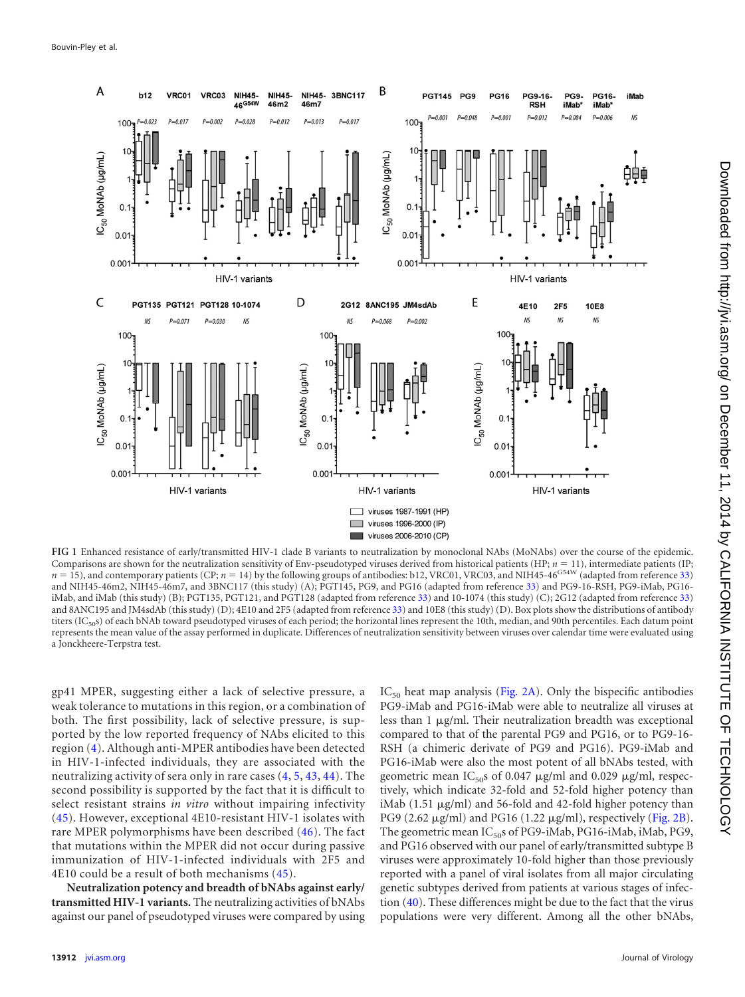

<span id="page-2-0"></span>**FIG 1** Enhanced resistance of early/transmitted HIV-1 clade B variants to neutralization by monoclonal NAbs (MoNAbs) over the course of the epidemic. Comparisons are shown for the neutralization sensitivity of Env-pseudotyped viruses derived from historical patients (HP;  $n = 11$ ), intermediate patients (IP;  $n = 15$ ), and contemporary patients (CP;  $n = 14$ ) by the follo and NIH45-46m2, NIH45-46m7, and 3BNC117 (this study) (A); PGT145, PG9, and PG16 (adapted from reference [33\)](#page-7-0) and PG9-16-RSH, PG9-iMab, PG16 iMab, and iMab (this study) (B); PGT135, PGT121, and PGT128 (adapted from reference [33\)](#page-7-0) and 10-1074 (this study) (C); 2G12 (adapted from reference [33\)](#page-7-0) and 8ANC195 and JM4sdAb (this study) (D); 4E10 and 2F5 (adapted from reference [33\)](#page-7-0) and 10E8 (this study) (D). Box plots show the distributions of antibody titers  $(IC_{50}s)$  of each bNAb toward pseudotyped viruses of each period; the horizontal lines represent the 10th, median, and 90th percentiles. Each datum point represents the mean value of the assay performed in duplicate. Differences of neutralization sensitivity between viruses over calendar time were evaluated using a Jonckheere-Terpstra test.

gp41 MPER, suggesting either a lack of selective pressure, a weak tolerance to mutations in this region, or a combination of both. The first possibility, lack of selective pressure, is supported by the low reported frequency of NAbs elicited to this region [\(4\)](#page-5-2). Although anti-MPER antibodies have been detected in HIV-1-infected individuals, they are associated with the neutralizing activity of sera only in rare cases [\(4,](#page-5-2) [5,](#page-5-3) [43,](#page-7-10) [44\)](#page-7-11). The second possibility is supported by the fact that it is difficult to select resistant strains *in vitro* without impairing infectivity [\(45\)](#page-7-12). However, exceptional 4E10-resistant HIV-1 isolates with rare MPER polymorphisms have been described [\(46\)](#page-7-13). The fact that mutations within the MPER did not occur during passive immunization of HIV-1-infected individuals with 2F5 and 4E10 could be a result of both mechanisms [\(45\)](#page-7-12).

**Neutralization potency and breadth of bNAbs against early/ transmitted HIV-1 variants.** The neutralizing activities of bNAbs against our panel of pseudotyped viruses were compared by using

 $IC_{50}$  heat map analysis [\(Fig. 2A\)](#page-3-0). Only the bispecific antibodies PG9-iMab and PG16-iMab were able to neutralize all viruses at less than 1 µg/ml. Their neutralization breadth was exceptional compared to that of the parental PG9 and PG16, or to PG9-16- RSH (a chimeric derivate of PG9 and PG16). PG9-iMab and PG16-iMab were also the most potent of all bNAbs tested, with geometric mean  $IC_{50}$ s of 0.047  $\mu$ g/ml and 0.029  $\mu$ g/ml, respectively, which indicate 32-fold and 52-fold higher potency than iMab (1.51  $\mu$ g/ml) and 56-fold and 42-fold higher potency than PG9 (2.62  $\mu$ g/ml) and PG16 (1.22  $\mu$ g/ml), respectively [\(Fig. 2B\)](#page-3-0). The geometric mean IC<sub>50</sub>s of PG9-iMab, PG16-iMab, iMab, PG9, and PG16 observed with our panel of early/transmitted subtype B viruses were approximately 10-fold higher than those previously reported with a panel of viral isolates from all major circulating genetic subtypes derived from patients at various stages of infection [\(40\)](#page-7-3). These differences might be due to the fact that the virus populations were very different. Among all the other bNAbs,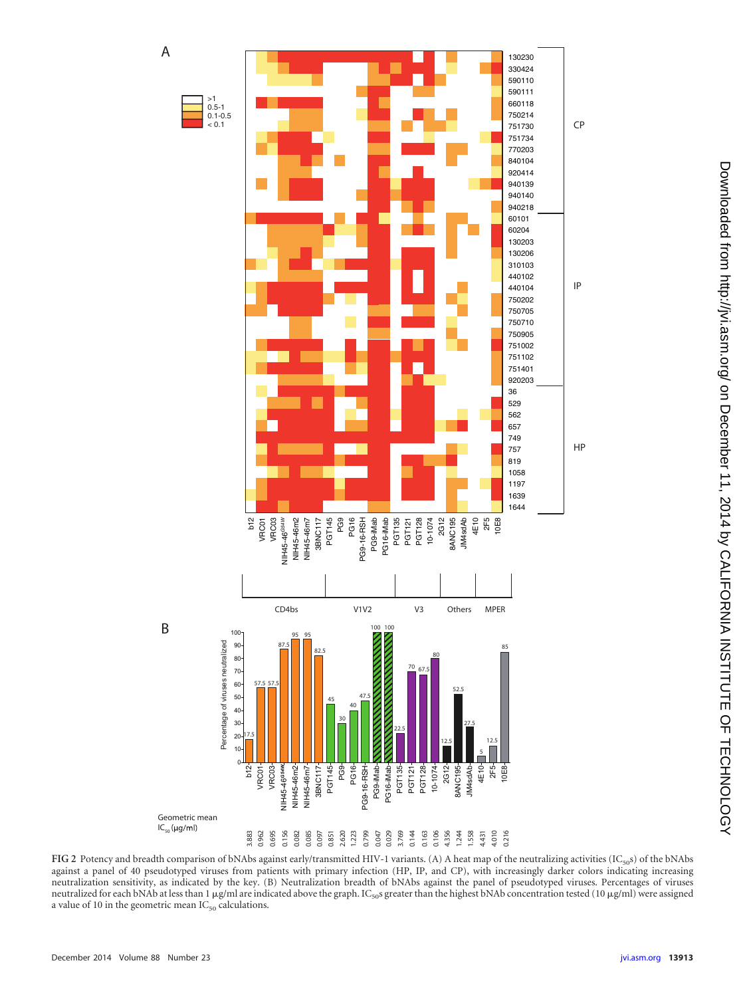

<span id="page-3-0"></span>FIG 2 Potency and breadth comparison of bNAbs against early/transmitted HIV-1 variants. (A) A heat map of the neutralizing activities (IC<sub>50</sub>s) of the bNAbs against a panel of 40 pseudotyped viruses from patients with primary infection (HP, IP, and CP), with increasingly darker colors indicating increasing neutralization sensitivity, as indicated by the key. (B) Neutralization breadth of bNAbs against the panel of pseudotyped viruses. Percentages of viruses neutralized for each bNAb at less than 1  $\mu$ g/ml are indicated above the graph. IC<sub>50</sub>s greater than the highest bNAb concentration tested (10  $\mu$ g/ml) were assigned a value of 10 in the geometric mean  $IC_{50}$  calculations.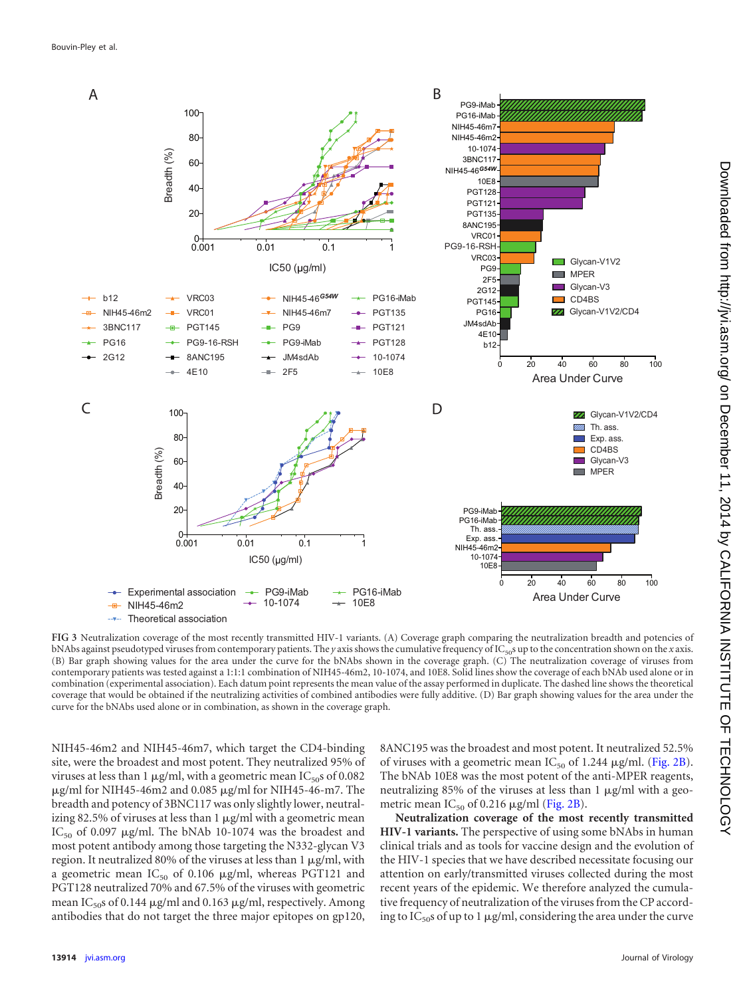

<span id="page-4-0"></span>**FIG 3** Neutralization coverage of the most recently transmitted HIV-1 variants. (A) Coverage graph comparing the neutralization breadth and potencies of bNAbs against pseudotyped viruses from contemporary patients. The *y* axis shows the cumulative frequency of IC<sub>50</sub>s up to the concentration shown on the *x* axis. (B) Bar graph showing values for the area under the curve for the bNAbs shown in the coverage graph. (C) The neutralization coverage of viruses from contemporary patients was tested against a 1:1:1 combination of NIH45-46m2, 10-1074, and 10E8. Solid lines show the coverage of each bNAb used alone or in combination (experimental association). Each datum point represents the mean value of the assay performed in duplicate. The dashed line shows the theoretical coverage that would be obtained if the neutralizing activities of combined antibodies were fully additive. (D) Bar graph showing values for the area under the curve for the bNAbs used alone or in combination, as shown in the coverage graph.

NIH45-46m2 and NIH45-46m7, which target the CD4-binding site, were the broadest and most potent. They neutralized 95% of viruses at less than 1  $\mu$ g/ml, with a geometric mean IC<sub>50</sub>s of 0.082  $\mu$ g/ml for NIH45-46m2 and 0.085  $\mu$ g/ml for NIH45-46-m7. The breadth and potency of 3BNC117 was only slightly lower, neutralizing 82.5% of viruses at less than  $1 \mu g/ml$  with a geometric mean  $IC_{50}$  of 0.097  $\mu$ g/ml. The bNAb 10-1074 was the broadest and most potent antibody among those targeting the N332-glycan V3 region. It neutralized 80% of the viruses at less than 1  $\mu$ g/ml, with a geometric mean  $IC_{50}$  of 0.106  $\mu$ g/ml, whereas PGT121 and PGT128 neutralized 70% and 67.5% of the viruses with geometric mean I $\text{C}_{50}$ s of 0.144  $\mu$ g/ml and 0.163  $\mu$ g/ml, respectively. Among antibodies that do not target the three major epitopes on gp120,

8ANC195 was the broadest and most potent. It neutralized 52.5% of viruses with a geometric mean  $IC_{50}$  of 1.244  $\mu$ g/ml. [\(Fig. 2B\)](#page-3-0). The bNAb 10E8 was the most potent of the anti-MPER reagents, neutralizing 85% of the viruses at less than  $1 \mu g/ml$  with a geometric mean  $IC_{50}$  of 0.216  $\mu$ g/ml [\(Fig. 2B\)](#page-3-0).

**Neutralization coverage of the most recently transmitted HIV-1 variants.** The perspective of using some bNAbs in human clinical trials and as tools for vaccine design and the evolution of the HIV-1 species that we have described necessitate focusing our attention on early/transmitted viruses collected during the most recent years of the epidemic. We therefore analyzed the cumulative frequency of neutralization of the viruses from the CP according to  $IC_{50}$ s of up to 1  $\mu$ g/ml, considering the area under the curve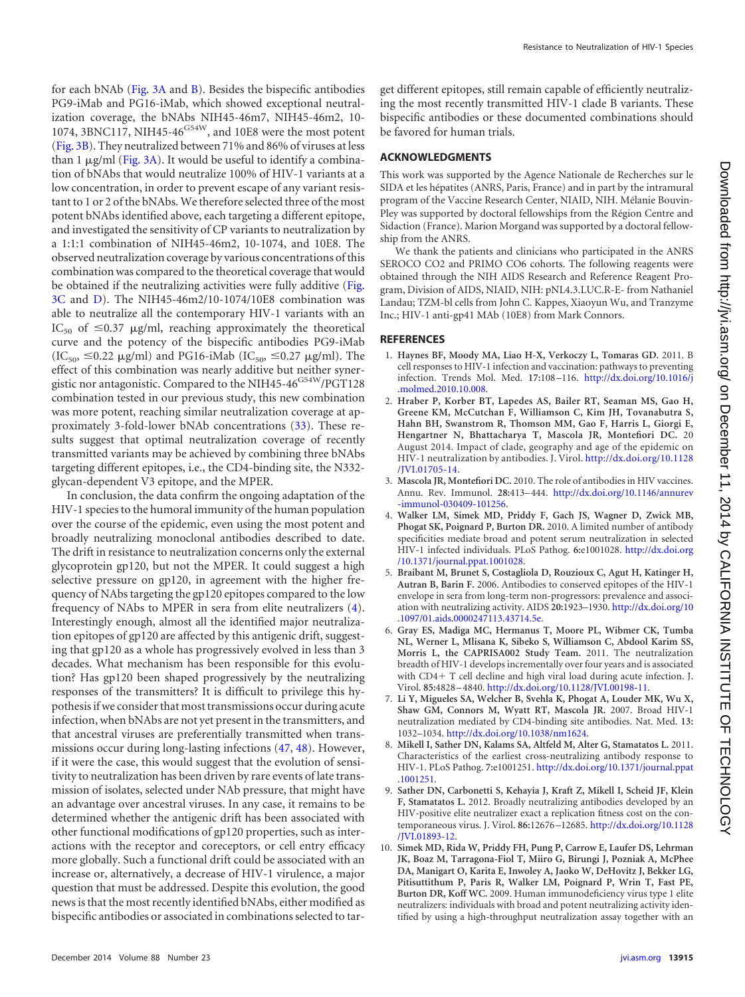Downloaded from http://yi.asm.org/ on December 11, 2014 by CALIFORNIA INSTITUTE OF TECHNOLOGY on December 11, 2014 by CALIFORNIA INSTITUTE OF TECHNOLOGY <http://jvi.asm.org/> Downloaded from

for each bNAb [\(Fig. 3A](#page-4-0) and [B\)](#page-4-0). Besides the bispecific antibodies PG9-iMab and PG16-iMab, which showed exceptional neutralization coverage, the bNAbs NIH45-46m7, NIH45-46m2, 10- 1074, 3BNC117, NIH45-46<sup>G54W</sup>, and 10E8 were the most potent [\(Fig. 3B\)](#page-4-0). They neutralized between 71% and 86% of viruses at less than 1 µg/ml [\(Fig. 3A\)](#page-4-0). It would be useful to identify a combination of bNAbs that would neutralize 100% of HIV-1 variants at a low concentration, in order to prevent escape of any variant resistant to 1 or 2 of the bNAbs. We therefore selected three of the most potent bNAbs identified above, each targeting a different epitope, and investigated the sensitivity of CP variants to neutralization by a 1:1:1 combination of NIH45-46m2, 10-1074, and 10E8. The observed neutralization coverage by various concentrations of this combination was compared to the theoretical coverage that would be obtained if the neutralizing activities were fully additive [\(Fig.](#page-4-0) [3C](#page-4-0) and [D\)](#page-4-0). The NIH45-46m2/10-1074/10E8 combination was able to neutralize all the contemporary HIV-1 variants with an IC<sub>50</sub> of  $\leq$ 0.37  $\mu$ g/ml, reaching approximately the theoretical curve and the potency of the bispecific antibodies PG9-iMab  $(IC<sub>50</sub>, ≤0.22 μg/ml)$  and PG16-iMab  $(IC<sub>50</sub>, ≤0.27 μg/ml)$ . The effect of this combination was nearly additive but neither synergistic nor antagonistic. Compared to the NIH45-46<sup>G54W</sup>/PGT128 combination tested in our previous study, this new combination was more potent, reaching similar neutralization coverage at approximately 3-fold-lower bNAb concentrations [\(33\)](#page-7-0). These results suggest that optimal neutralization coverage of recently transmitted variants may be achieved by combining three bNAbs targeting different epitopes, i.e., the CD4-binding site, the N332 glycan-dependent V3 epitope, and the MPER.

In conclusion, the data confirm the ongoing adaptation of the HIV-1 species to the humoral immunity of the human population over the course of the epidemic, even using the most potent and broadly neutralizing monoclonal antibodies described to date. The drift in resistance to neutralization concerns only the external glycoprotein gp120, but not the MPER. It could suggest a high selective pressure on gp120, in agreement with the higher frequency of NAbs targeting the gp120 epitopes compared to the low frequency of NAbs to MPER in sera from elite neutralizers [\(4\)](#page-5-2). Interestingly enough, almost all the identified major neutralization epitopes of gp120 are affected by this antigenic drift, suggesting that gp120 as a whole has progressively evolved in less than 3 decades. What mechanism has been responsible for this evolution? Has gp120 been shaped progressively by the neutralizing responses of the transmitters? It is difficult to privilege this hypothesis if we consider that most transmissions occur during acute infection, when bNAbs are not yet present in the transmitters, and that ancestral viruses are preferentially transmitted when transmissions occur during long-lasting infections [\(47,](#page-7-14) [48\)](#page-7-15). However, if it were the case, this would suggest that the evolution of sensitivity to neutralization has been driven by rare events of late transmission of isolates, selected under NAb pressure, that might have an advantage over ancestral viruses. In any case, it remains to be determined whether the antigenic drift has been associated with other functional modifications of gp120 properties, such as interactions with the receptor and coreceptors, or cell entry efficacy more globally. Such a functional drift could be associated with an increase or, alternatively, a decrease of HIV-1 virulence, a major question that must be addressed. Despite this evolution, the good news is that the most recently identified bNAbs, either modified as bispecific antibodies or associated in combinations selected to tar-

get different epitopes, still remain capable of efficiently neutralizing the most recently transmitted HIV-1 clade B variants. These bispecific antibodies or these documented combinations should be favored for human trials.

## **ACKNOWLEDGMENTS**

This work was supported by the Agence Nationale de Recherches sur le SIDA et les hépatites (ANRS, Paris, France) and in part by the intramural program of the Vaccine Research Center, NIAID, NIH. Mélanie Bouvin-Pley was supported by doctoral fellowships from the Région Centre and Sidaction (France). Marion Morgand was supported by a doctoral fellowship from the ANRS.

We thank the patients and clinicians who participated in the ANRS SEROCO CO2 and PRIMO CO6 cohorts. The following reagents were obtained through the NIH AIDS Research and Reference Reagent Program, Division of AIDS, NIAID, NIH: pNL4.3.LUC.R-E- from Nathaniel Landau; TZM-bl cells from John C. Kappes, Xiaoyun Wu, and Tranzyme Inc.; HIV-1 anti-gp41 MAb (10E8) from Mark Connors.

## <span id="page-5-0"></span>**REFERENCES**

- 1. **Haynes BF, Moody MA, Liao H-X, Verkoczy L, Tomaras GD.** 2011. B cell responses to HIV-1 infection and vaccination: pathways to preventing infection. Trends Mol. Med. **17:**108 –116. [http://dx.doi.org/10.1016/j](http://dx.doi.org/10.1016/j.molmed.2010.10.008) [.molmed.2010.10.008.](http://dx.doi.org/10.1016/j.molmed.2010.10.008)
- 2. **Hraber P, Korber BT, Lapedes AS, Bailer RT, Seaman MS, Gao H, Greene KM, McCutchan F, Williamson C, Kim JH, Tovanabutra S, Hahn BH, Swanstrom R, Thomson MM, Gao F, Harris L, Giorgi E, Hengartner N, Bhattacharya T, Mascola JR, Montefiori DC.** 20 August 2014. Impact of clade, geography and age of the epidemic on HIV-1 neutralization by antibodies. J. Virol. [http://dx.doi.org/10.1128](http://dx.doi.org/10.1128/JVI.01705-14) [/JVI.01705-14.](http://dx.doi.org/10.1128/JVI.01705-14)
- <span id="page-5-2"></span>3. **Mascola JR, Montefiori DC.** 2010. The role of antibodies in HIV vaccines. Annu. Rev. Immunol. **28:**413– 444. [http://dx.doi.org/10.1146/annurev](http://dx.doi.org/10.1146/annurev-immunol-030409-101256) [-immunol-030409-101256.](http://dx.doi.org/10.1146/annurev-immunol-030409-101256)
- 4. **Walker LM, Simek MD, Priddy F, Gach JS, Wagner D, Zwick MB, Phogat SK, Poignard P, Burton DR.** 2010. A limited number of antibody specificities mediate broad and potent serum neutralization in selected HIV-1 infected individuals. PLoS Pathog. **6:**e1001028. [http://dx.doi.org](http://dx.doi.org/10.1371/journal.ppat.1001028) [/10.1371/journal.ppat.1001028.](http://dx.doi.org/10.1371/journal.ppat.1001028)
- <span id="page-5-3"></span>5. **Braibant M, Brunet S, Costagliola D, Rouzioux C, Agut H, Katinger H, Autran B, Barin F.** 2006. Antibodies to conserved epitopes of the HIV-1 envelope in sera from long-term non-progressors: prevalence and association with neutralizing activity. AIDS **20:**1923–1930. [http://dx.doi.org/10](http://dx.doi.org/10.1097/01.aids.0000247113.43714.5e) [.1097/01.aids.0000247113.43714.5e.](http://dx.doi.org/10.1097/01.aids.0000247113.43714.5e)
- 6. **Gray ES, Madiga MC, Hermanus T, Moore PL, Wibmer CK, Tumba NL, Werner L, Mlisana K, Sibeko S, Williamson C, Abdool Karim SS, Morris L, the CAPRISA002 Study Team.** 2011. The neutralization breadth of HIV-1 develops incrementally over four years and is associated with CD4+ T cell decline and high viral load during acute infection. J. Virol. **85:**4828 – 4840. [http://dx.doi.org/10.1128/JVI.00198-11.](http://dx.doi.org/10.1128/JVI.00198-11)
- 7. **Li Y, Migueles SA, Welcher B, Svehla K, Phogat A, Louder MK, Wu X, Shaw GM, Connors M, Wyatt RT, Mascola JR.** 2007. Broad HIV-1 neutralization mediated by CD4-binding site antibodies. Nat. Med. **13:** 1032–1034. [http://dx.doi.org/10.1038/nm1624.](http://dx.doi.org/10.1038/nm1624)
- 8. **Mikell I, Sather DN, Kalams SA, Altfeld M, Alter G, Stamatatos L.** 2011. Characteristics of the earliest cross-neutralizing antibody response to HIV-1. PLoS Pathog. **7:**e1001251. [http://dx.doi.org/10.1371/journal.ppat](http://dx.doi.org/10.1371/journal.ppat.1001251) [.1001251.](http://dx.doi.org/10.1371/journal.ppat.1001251)
- 9. **Sather DN, Carbonetti S, Kehayia J, Kraft Z, Mikell I, Scheid JF, Klein F, Stamatatos L.** 2012. Broadly neutralizing antibodies developed by an HIV-positive elite neutralizer exact a replication fitness cost on the contemporaneous virus. J. Virol. **86:**12676 –12685. [http://dx.doi.org/10.1128](http://dx.doi.org/10.1128/JVI.01893-12) [/JVI.01893-12.](http://dx.doi.org/10.1128/JVI.01893-12)
- <span id="page-5-1"></span>10. **Simek MD, Rida W, Priddy FH, Pung P, Carrow E, Laufer DS, Lehrman JK, Boaz M, Tarragona-Fiol T, Miiro G, Birungi J, Pozniak A, McPhee DA, Manigart O, Karita E, Inwoley A, Jaoko W, DeHovitz J, Bekker LG, Pitisuttithum P, Paris R, Walker LM, Poignard P, Wrin T, Fast PE, Burton DR, Koff WC.** 2009. Human immunodeficiency virus type 1 elite neutralizers: individuals with broad and potent neutralizing activity identified by using a high-throughput neutralization assay together with an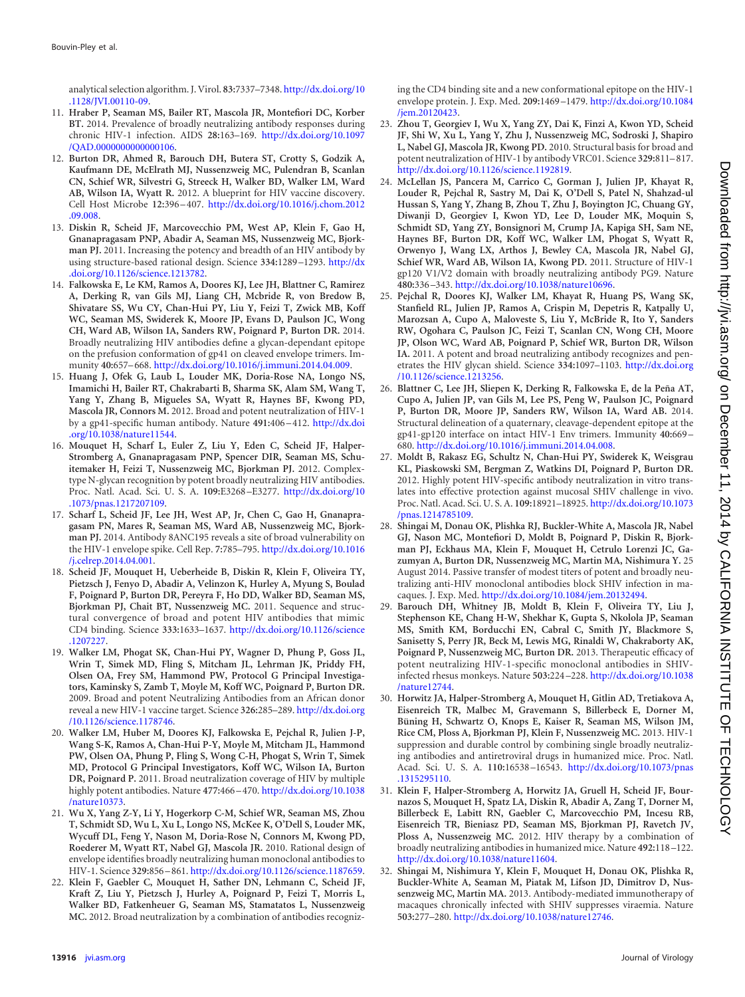analytical selection algorithm. J. Virol. **83:**7337–7348. [http://dx.doi.org/10](http://dx.doi.org/10.1128/JVI.00110-09) [.1128/JVI.00110-09.](http://dx.doi.org/10.1128/JVI.00110-09)

- <span id="page-6-0"></span>11. **Hraber P, Seaman MS, Bailer RT, Mascola JR, Montefiori DC, Korber BT.** 2014. Prevalence of broadly neutralizing antibody responses during chronic HIV-1 infection. AIDS **28:**163–169. [http://dx.doi.org/10.1097](http://dx.doi.org/10.1097/QAD.0000000000000106) [/QAD.0000000000000106.](http://dx.doi.org/10.1097/QAD.0000000000000106)
- <span id="page-6-1"></span>12. **Burton DR, Ahmed R, Barouch DH, Butera ST, Crotty S, Godzik A, Kaufmann DE, McElrath MJ, Nussenzweig MC, Pulendran B, Scanlan CN, Schief WR, Silvestri G, Streeck H, Walker BD, Walker LM, Ward AB, Wilson IA, Wyatt R.** 2012. A blueprint for HIV vaccine discovery. Cell Host Microbe **12:**396 – 407. [http://dx.doi.org/10.1016/j.chom.2012](http://dx.doi.org/10.1016/j.chom.2012.09.008) [.09.008.](http://dx.doi.org/10.1016/j.chom.2012.09.008)
- <span id="page-6-4"></span>13. **Diskin R, Scheid JF, Marcovecchio PM, West AP, Klein F, Gao H, Gnanapragasam PNP, Abadir A, Seaman MS, Nussenzweig MC, Bjorkman PJ.** 2011. Increasing the potency and breadth of an HIV antibody by using structure-based rational design. Science **334:**1289 –1293. [http://dx](http://dx.doi.org/10.1126/science.1213782) [.doi.org/10.1126/science.1213782.](http://dx.doi.org/10.1126/science.1213782)
- <span id="page-6-13"></span>14. **Falkowska E, Le KM, Ramos A, Doores KJ, Lee JH, Blattner C, Ramirez A, Derking R, van Gils MJ, Liang CH, Mcbride R, von Bredow B, Shivatare SS, Wu CY, Chan-Hui PY, Liu Y, Feizi T, Zwick MB, Koff WC, Seaman MS, Swiderek K, Moore JP, Evans D, Paulson JC, Wong CH, Ward AB, Wilson IA, Sanders RW, Poignard P, Burton DR.** 2014. Broadly neutralizing HIV antibodies define a glycan-dependant epitope on the prefusion conformation of gp41 on cleaved envelope trimers. Immunity **40:**657– 668. [http://dx.doi.org/10.1016/j.immuni.2014.04.009.](http://dx.doi.org/10.1016/j.immuni.2014.04.009)
- <span id="page-6-12"></span>15. **Huang J, Ofek G, Laub L, Louder MK, Doria-Rose NA, Longo NS, Imamichi H, Bailer RT, Chakrabarti B, Sharma SK, Alam SM, Wang T, Yang Y, Zhang B, Migueles SA, Wyatt R, Haynes BF, Kwong PD, Mascola JR, Connors M.** 2012. Broad and potent neutralization of HIV-1 by a gp41-specific human antibody. Nature **491:**406 – 412. [http://dx.doi](http://dx.doi.org/10.1038/nature11544) [.org/10.1038/nature11544.](http://dx.doi.org/10.1038/nature11544)
- <span id="page-6-8"></span>16. **Mouquet H, Scharf L, Euler Z, Liu Y, Eden C, Scheid JF, Halper-Stromberg A, Gnanapragasam PNP, Spencer DIR, Seaman MS, Schuitemaker H, Feizi T, Nussenzweig MC, Bjorkman PJ.** 2012. Complextype N-glycan recognition by potent broadly neutralizing HIV antibodies. Proc. Natl. Acad. Sci. U. S. A. **109:**E3268 –E3277. [http://dx.doi.org/10](http://dx.doi.org/10.1073/pnas.1217207109) [.1073/pnas.1217207109.](http://dx.doi.org/10.1073/pnas.1217207109)
- <span id="page-6-14"></span>17. **Scharf L, Scheid JF, Lee JH, West AP, Jr, Chen C, Gao H, Gnanapragasam PN, Mares R, Seaman MS, Ward AB, Nussenzweig MC, Bjorkman PJ.** 2014. Antibody 8ANC195 reveals a site of broad vulnerability on the HIV-1 envelope spike. Cell Rep. **7:**785–795. [http://dx.doi.org/10.1016](http://dx.doi.org/10.1016/j.celrep.2014.04.001) [/j.celrep.2014.04.001.](http://dx.doi.org/10.1016/j.celrep.2014.04.001)
- <span id="page-6-5"></span>18. **Scheid JF, Mouquet H, Ueberheide B, Diskin R, Klein F, Oliveira TY, Pietzsch J, Fenyo D, Abadir A, Velinzon K, Hurley A, Myung S, Boulad F, Poignard P, Burton DR, Pereyra F, Ho DD, Walker BD, Seaman MS, Bjorkman PJ, Chait BT, Nussenzweig MC.** 2011. Sequence and structural convergence of broad and potent HIV antibodies that mimic CD4 binding. Science **333:**1633–1637. [http://dx.doi.org/10.1126/science](http://dx.doi.org/10.1126/science.1207227) [.1207227.](http://dx.doi.org/10.1126/science.1207227)
- <span id="page-6-9"></span>19. **Walker LM, Phogat SK, Chan-Hui PY, Wagner D, Phung P, Goss JL, Wrin T, Simek MD, Fling S, Mitcham JL, Lehrman JK, Priddy FH, Olsen OA, Frey SM, Hammond PW, Protocol G Principal Investigators, Kaminsky S, Zamb T, Moyle M, Koff WC, Poignard P, Burton DR.** 2009. Broad and potent Neutralizing Antibodies from an African donor reveal a new HIV-1 vaccine target. Science **326:**285–289. [http://dx.doi.org](http://dx.doi.org/10.1126/science.1178746) [/10.1126/science.1178746.](http://dx.doi.org/10.1126/science.1178746)
- <span id="page-6-2"></span>20. **Walker LM, Huber M, Doores KJ, Falkowska E, Pejchal R, Julien J-P, Wang S-K, Ramos A, Chan-Hui P-Y, Moyle M, Mitcham JL, Hammond PW, Olsen OA, Phung P, Fling S, Wong C-H, Phogat S, Wrin T, Simek MD, Protocol G Principal Investigators, Koff WC, Wilson IA, Burton DR, Poignard P.** 2011. Broad neutralization coverage of HIV by multiple highly potent antibodies. Nature **477:**466 – 470. [http://dx.doi.org/10.1038](http://dx.doi.org/10.1038/nature10373) [/nature10373.](http://dx.doi.org/10.1038/nature10373)
- <span id="page-6-3"></span>21. **Wu X, Yang Z-Y, Li Y, Hogerkorp C-M, Schief WR, Seaman MS, Zhou T, Schmidt SD, Wu L, Xu L, Longo NS, McKee K, O'Dell S, Louder MK, Wycuff DL, Feng Y, Nason M, Doria-Rose N, Connors M, Kwong PD, Roederer M, Wyatt RT, Nabel GJ, Mascola JR.** 2010. Rational design of envelope identifies broadly neutralizing human monoclonal antibodies to HIV-1. Science **329:**856 – 861. [http://dx.doi.org/10.1126/science.1187659.](http://dx.doi.org/10.1126/science.1187659)
- <span id="page-6-6"></span>22. **Klein F, Gaebler C, Mouquet H, Sather DN, Lehmann C, Scheid JF, Kraft Z, Liu Y, Pietzsch J, Hurley A, Poignard P, Feizi T, Morris L, Walker BD, Fatkenheuer G, Seaman MS, Stamatatos L, Nussenzweig MC.** 2012. Broad neutralization by a combination of antibodies recogniz-

ing the CD4 binding site and a new conformational epitope on the HIV-1 envelope protein. J. Exp. Med. **209:**1469 –1479. [http://dx.doi.org/10.1084](http://dx.doi.org/10.1084/jem.20120423) [/jem.20120423.](http://dx.doi.org/10.1084/jem.20120423)

- <span id="page-6-7"></span>23. **Zhou T, Georgiev I, Wu X, Yang ZY, Dai K, Finzi A, Kwon YD, Scheid JF, Shi W, Xu L, Yang Y, Zhu J, Nussenzweig MC, Sodroski J, Shapiro L, Nabel GJ, Mascola JR, Kwong PD.** 2010. Structural basis for broad and potent neutralization of HIV-1 by antibody VRC01. Science **329:**811– 817. [http://dx.doi.org/10.1126/science.1192819.](http://dx.doi.org/10.1126/science.1192819)
- <span id="page-6-10"></span>24. **McLellan JS, Pancera M, Carrico C, Gorman J, Julien JP, Khayat R, Louder R, Pejchal R, Sastry M, Dai K, O'Dell S, Patel N, Shahzad-ul Hussan S, Yang Y, Zhang B, Zhou T, Zhu J, Boyington JC, Chuang GY, Diwanji D, Georgiev I, Kwon YD, Lee D, Louder MK, Moquin S, Schmidt SD, Yang ZY, Bonsignori M, Crump JA, Kapiga SH, Sam NE, Haynes BF, Burton DR, Koff WC, Walker LM, Phogat S, Wyatt R, Orwenyo J, Wang LX, Arthos J, Bewley CA, Mascola JR, Nabel GJ, Schief WR, Ward AB, Wilson IA, Kwong PD.** 2011. Structure of HIV-1 gp120 V1/V2 domain with broadly neutralizing antibody PG9. Nature **480:**336 –343. [http://dx.doi.org/10.1038/nature10696.](http://dx.doi.org/10.1038/nature10696)
- <span id="page-6-11"></span>25. **Pejchal R, Doores KJ, Walker LM, Khayat R, Huang PS, Wang SK, Stanfield RL, Julien JP, Ramos A, Crispin M, Depetris R, Katpally U, Marozsan A, Cupo A, Maloveste S, Liu Y, McBride R, Ito Y, Sanders RW, Ogohara C, Paulson JC, Feizi T, Scanlan CN, Wong CH, Moore JP, Olson WC, Ward AB, Poignard P, Schief WR, Burton DR, Wilson IA.** 2011. A potent and broad neutralizing antibody recognizes and penetrates the HIV glycan shield. Science **334:**1097–1103. [http://dx.doi.org](http://dx.doi.org/10.1126/science.1213256) [/10.1126/science.1213256.](http://dx.doi.org/10.1126/science.1213256)
- <span id="page-6-15"></span>26. **Blattner C, Lee JH, Sliepen K, Derking R, Falkowska E, de la Peña AT, Cupo A, Julien JP, van Gils M, Lee PS, Peng W, Paulson JC, Poignard P, Burton DR, Moore JP, Sanders RW, Wilson IA, Ward AB.** 2014. Structural delineation of a quaternary, cleavage-dependent epitope at the gp41-gp120 interface on intact HIV-1 Env trimers. Immunity **40:**669 – 680. [http://dx.doi.org/10.1016/j.immuni.2014.04.008.](http://dx.doi.org/10.1016/j.immuni.2014.04.008)
- <span id="page-6-16"></span>27. **Moldt B, Rakasz EG, Schultz N, Chan-Hui PY, Swiderek K, Weisgrau KL, Piaskowski SM, Bergman Z, Watkins DI, Poignard P, Burton DR.** 2012. Highly potent HIV-specific antibody neutralization in vitro translates into effective protection against mucosal SHIV challenge in vivo. Proc. Natl. Acad. Sci. U. S. A. **109:**18921–18925. [http://dx.doi.org/10.1073](http://dx.doi.org/10.1073/pnas.1214785109) [/pnas.1214785109.](http://dx.doi.org/10.1073/pnas.1214785109)
- <span id="page-6-17"></span>28. **Shingai M, Donau OK, Plishka RJ, Buckler-White A, Mascola JR, Nabel GJ, Nason MC, Montefiori D, Moldt B, Poignard P, Diskin R, Bjorkman PJ, Eckhaus MA, Klein F, Mouquet H, Cetrulo Lorenzi JC, Gazumyan A, Burton DR, Nussenzweig MC, Martin MA, Nishimura Y.** 25 August 2014. Passive transfer of modest titers of potent and broadly neutralizing anti-HIV monoclonal antibodies block SHIV infection in macaques. J. Exp. Med. [http://dx.doi.org/10.1084/jem.20132494.](http://dx.doi.org/10.1084/jem.20132494)
- <span id="page-6-18"></span>29. **Barouch DH, Whitney JB, Moldt B, Klein F, Oliveira TY, Liu J, Stephenson KE, Chang H-W, Shekhar K, Gupta S, Nkolola JP, Seaman MS, Smith KM, Borducchi EN, Cabral C, Smith JY, Blackmore S, Sanisetty S, Perry JR, Beck M, Lewis MG, Rinaldi W, Chakraborty AK, Poignard P, Nussenzweig MC, Burton DR.** 2013. Therapeutic efficacy of potent neutralizing HIV-1-specific monoclonal antibodies in SHIVinfected rhesus monkeys. Nature **503:**224 –228. [http://dx.doi.org/10.1038](http://dx.doi.org/10.1038/nature12744) [/nature12744.](http://dx.doi.org/10.1038/nature12744)
- 30. **Horwitz JA, Halper-Stromberg A, Mouquet H, Gitlin AD, Tretiakova A, Eisenreich TR, Malbec M, Gravemann S, Billerbeck E, Dorner M, Büning H, Schwartz O, Knops E, Kaiser R, Seaman MS, Wilson JM, Rice CM, Ploss A, Bjorkman PJ, Klein F, Nussenzweig MC.** 2013. HIV-1 suppression and durable control by combining single broadly neutralizing antibodies and antiretroviral drugs in humanized mice. Proc. Natl. Acad. Sci. U. S. A. **110:**16538 –16543. [http://dx.doi.org/10.1073/pnas](http://dx.doi.org/10.1073/pnas.1315295110) [.1315295110.](http://dx.doi.org/10.1073/pnas.1315295110)
- <span id="page-6-19"></span>31. **Klein F, Halper-Stromberg A, Horwitz JA, Gruell H, Scheid JF, Bournazos S, Mouquet H, Spatz LA, Diskin R, Abadir A, Zang T, Dorner M, Billerbeck E, Labitt RN, Gaebler C, Marcovecchio PM, Incesu RB, Eisenreich TR, Bieniasz PD, Seaman MS, Bjorkman PJ, Ravetch JV, Ploss A, Nussenzweig MC.** 2012. HIV therapy by a combination of broadly neutralizing antibodies in humanized mice. Nature **492:**118 –122. [http://dx.doi.org/10.1038/nature11604.](http://dx.doi.org/10.1038/nature11604)
- <span id="page-6-20"></span>32. **Shingai M, Nishimura Y, Klein F, Mouquet H, Donau OK, Plishka R, Buckler-White A, Seaman M, Piatak M, Lifson JD, Dimitrov D, Nussenzweig MC, Martin MA.** 2013. Antibody-mediated immunotherapy of macaques chronically infected with SHIV suppresses viraemia. Nature **503:**277–280. [http://dx.doi.org/10.1038/nature12746.](http://dx.doi.org/10.1038/nature12746)